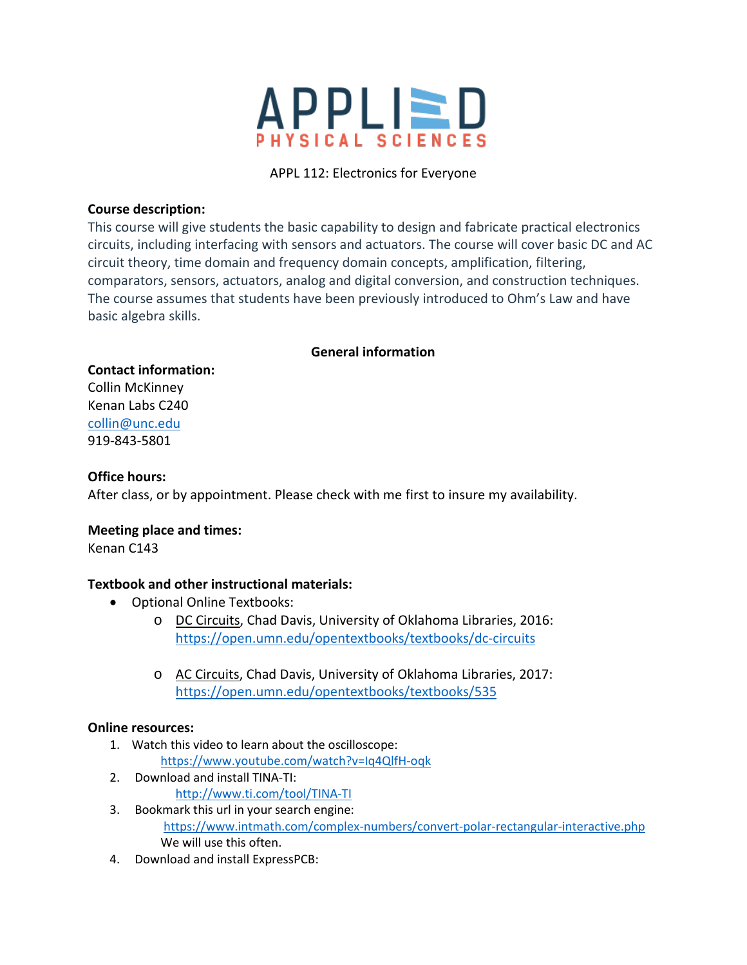

# APPL 112: Electronics for Everyone

## **Course description:**

This course will give students the basic capability to design and fabricate practical electronics circuits, including interfacing with sensors and actuators. The course will cover basic DC and AC circuit theory, time domain and frequency domain concepts, amplification, filtering, comparators, sensors, actuators, analog and digital conversion, and construction techniques. The course assumes that students have been previously introduced to Ohm's Law and have basic algebra skills.

## **General information**

#### **Contact information:**

Collin McKinney Kenan Labs C240 [collin@unc.edu](mailto:collin@unc.edu) 919-843-5801

## **Office hours:**

After class, or by appointment. Please check with me first to insure my availability.

## **Meeting place and times:**

Kenan C143

## **Textbook and other instructional materials:**

- Optional Online Textbooks:
	- o DC Circuits, Chad Davis, University of Oklahoma Libraries, 2016: <https://open.umn.edu/opentextbooks/textbooks/dc-circuits>
	- o AC Circuits, Chad Davis, University of Oklahoma Libraries, 2017: <https://open.umn.edu/opentextbooks/textbooks/535>

## **Online resources:**

- 1. Watch this video to learn about the oscilloscope: <https://www.youtube.com/watch?v=Iq4QlfH-oqk>
- 2. Download and install TINA-TI: <http://www.ti.com/tool/TINA-TI>
- 3. Bookmark this url in your search engine: <https://www.intmath.com/complex-numbers/convert-polar-rectangular-interactive.php> We will use this often.
- 4. Download and install ExpressPCB: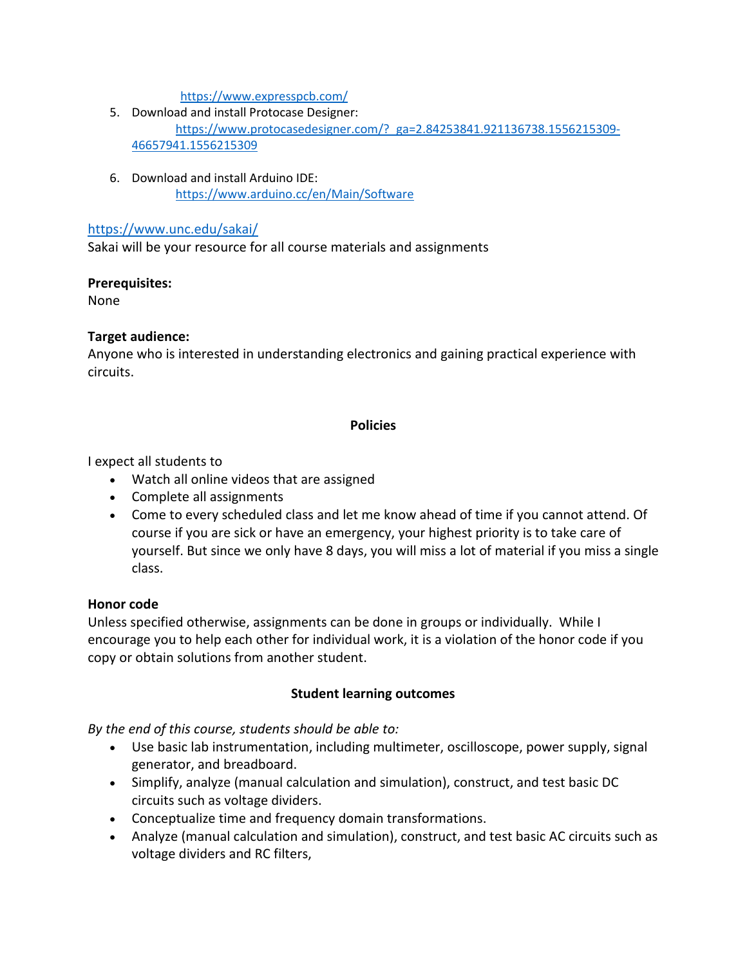<https://www.expresspcb.com/>

- 5. Download and install Protocase Designer: [https://www.protocasedesigner.com/?\\_ga=2.84253841.921136738.1556215309-](https://www.protocasedesigner.com/?_ga=2.84253841.921136738.1556215309-46657941.1556215309) [46657941.1556215309](https://www.protocasedesigner.com/?_ga=2.84253841.921136738.1556215309-46657941.1556215309)
- 6. Download and install Arduino IDE: <https://www.arduino.cc/en/Main/Software>

### <https://www.unc.edu/sakai/>

Sakai will be your resource for all course materials and assignments

#### **Prerequisites:**

None

## **Target audience:**

Anyone who is interested in understanding electronics and gaining practical experience with circuits.

## **Policies**

I expect all students to

- Watch all online videos that are assigned
- Complete all assignments
- Come to every scheduled class and let me know ahead of time if you cannot attend. Of course if you are sick or have an emergency, your highest priority is to take care of yourself. But since we only have 8 days, you will miss a lot of material if you miss a single class.

## **Honor code**

Unless specified otherwise, assignments can be done in groups or individually. While I encourage you to help each other for individual work, it is a violation of the honor code if you copy or obtain solutions from another student.

## **Student learning outcomes**

*By the end of this course, students should be able to:*

- Use basic lab instrumentation, including multimeter, oscilloscope, power supply, signal generator, and breadboard.
- Simplify, analyze (manual calculation and simulation), construct, and test basic DC circuits such as voltage dividers.
- Conceptualize time and frequency domain transformations.
- Analyze (manual calculation and simulation), construct, and test basic AC circuits such as voltage dividers and RC filters,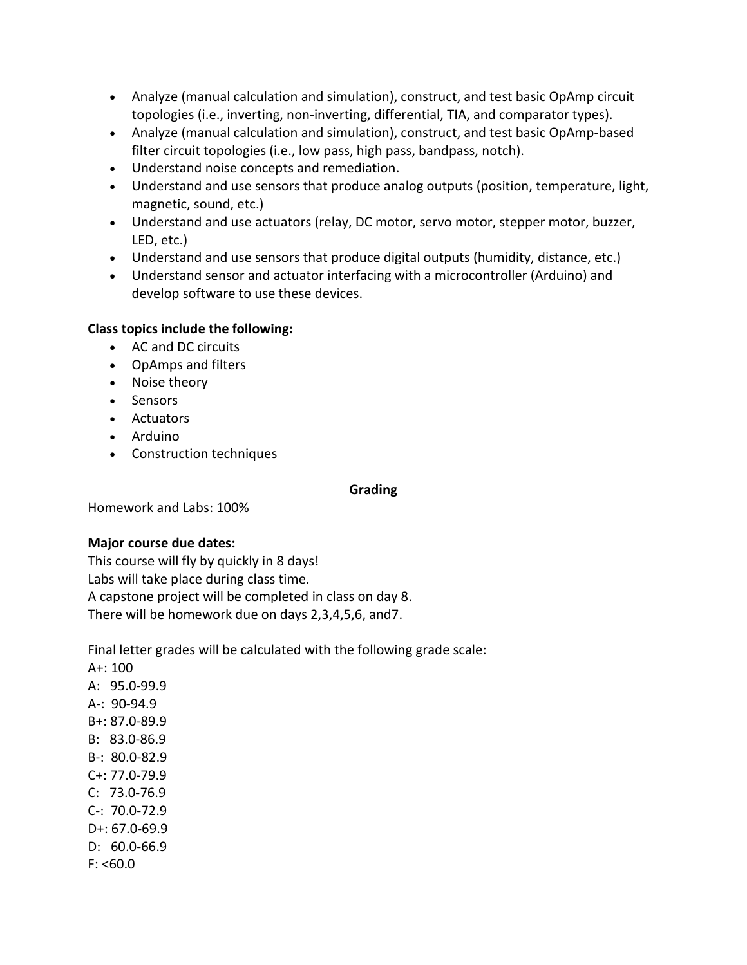- Analyze (manual calculation and simulation), construct, and test basic OpAmp circuit topologies (i.e., inverting, non-inverting, differential, TIA, and comparator types).
- Analyze (manual calculation and simulation), construct, and test basic OpAmp-based filter circuit topologies (i.e., low pass, high pass, bandpass, notch).
- Understand noise concepts and remediation.
- Understand and use sensors that produce analog outputs (position, temperature, light, magnetic, sound, etc.)
- Understand and use actuators (relay, DC motor, servo motor, stepper motor, buzzer, LED, etc.)
- Understand and use sensors that produce digital outputs (humidity, distance, etc.)
- Understand sensor and actuator interfacing with a microcontroller (Arduino) and develop software to use these devices.

# **Class topics include the following:**

- AC and DC circuits
- OpAmps and filters
- Noise theory
- Sensors
- Actuators
- Arduino
- Construction techniques

## **Grading**

Homework and Labs: 100%

# **Major course due dates:**

This course will fly by quickly in 8 days! Labs will take place during class time. A capstone project will be completed in class on day 8. There will be homework due on days 2,3,4,5,6, and7.

Final letter grades will be calculated with the following grade scale:

A+: 100 A: 95.0-99.9 A-: 90-94.9 B+: 87.0-89.9 B: 83.0-86.9 B-: 80.0-82.9 C+: 77.0-79.9 C: 73.0-76.9 C-: 70.0-72.9 D+: 67.0-69.9 D: 60.0-66.9  $F: < 60.0$